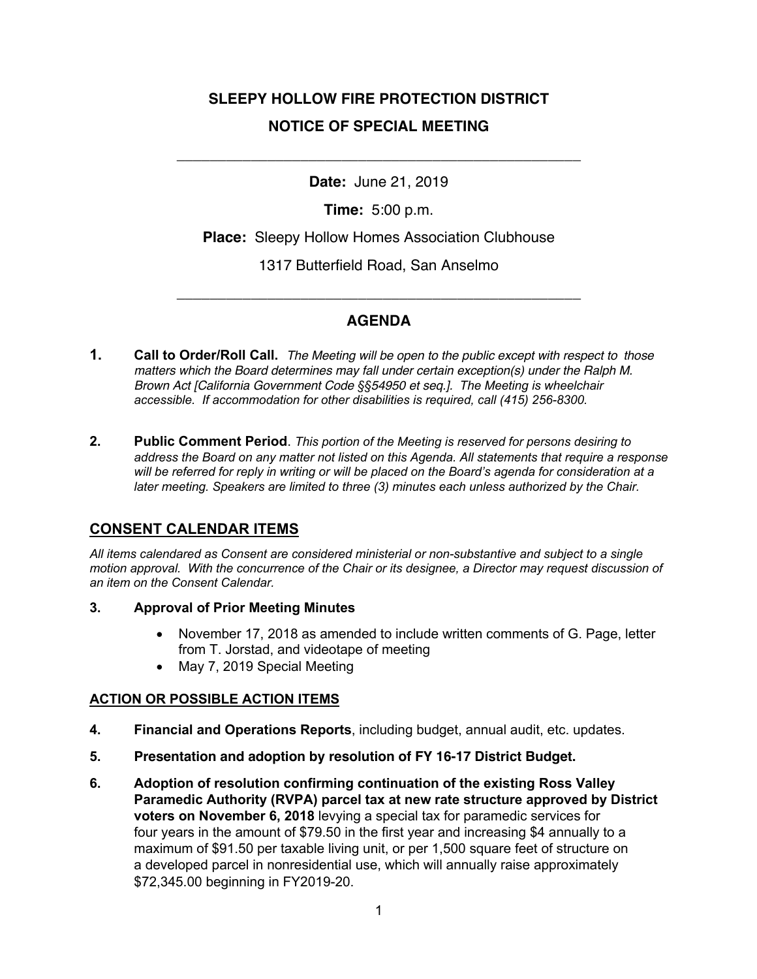# **SLEEPY HOLLOW FIRE PROTECTION DISTRICT NOTICE OF SPECIAL MEETING**

**Date:** June 21, 2019

\_\_\_\_\_\_\_\_\_\_\_\_\_\_\_\_\_\_\_\_\_\_\_\_\_\_\_\_\_\_\_\_\_\_\_\_\_\_\_\_\_\_\_\_\_\_\_\_\_

**Time:** 5:00 p.m.

**Place:** Sleepy Hollow Homes Association Clubhouse

1317 Butterfield Road, San Anselmo

## **AGENDA**

\_\_\_\_\_\_\_\_\_\_\_\_\_\_\_\_\_\_\_\_\_\_\_\_\_\_\_\_\_\_\_\_\_\_\_\_\_\_\_\_\_\_\_\_\_\_\_\_\_

- **1. Call to Order/Roll Call.** *The Meeting will be open to the public except with respect to those matters which the Board determines may fall under certain exception(s) under the Ralph M. Brown Act [California Government Code §§54950 et seq.]. The Meeting is wheelchair accessible. If accommodation for other disabilities is required, call (415) 256-8300.*
- **2. Public Comment Period**. *This portion of the Meeting is reserved for persons desiring to address the Board on any matter not listed on this Agenda. All statements that require a response will be referred for reply in writing or will be placed on the Board's agenda for consideration at a later meeting. Speakers are limited to three (3) minutes each unless authorized by the Chair.*

### **CONSENT CALENDAR ITEMS**

*All items calendared as Consent are considered ministerial or non-substantive and subject to a single motion approval. With the concurrence of the Chair or its designee, a Director may request discussion of an item on the Consent Calendar.*

- **3. Approval of Prior Meeting Minutes**
	- November 17, 2018 as amended to include written comments of G. Page, letter from T. Jorstad, and videotape of meeting
	- May 7, 2019 Special Meeting

### **ACTION OR POSSIBLE ACTION ITEMS**

- **4. Financial and Operations Reports**, including budget, annual audit, etc. updates.
- **5. Presentation and adoption by resolution of FY 16-17 District Budget.**
- **6. Adoption of resolution confirming continuation of the existing Ross Valley Paramedic Authority (RVPA) parcel tax at new rate structure approved by District voters on November 6, 2018** levying a special tax for paramedic services for four years in the amount of \$79.50 in the first year and increasing \$4 annually to a maximum of \$91.50 per taxable living unit, or per 1,500 square feet of structure on a developed parcel in nonresidential use, which will annually raise approximately \$72,345.00 beginning in FY2019-20.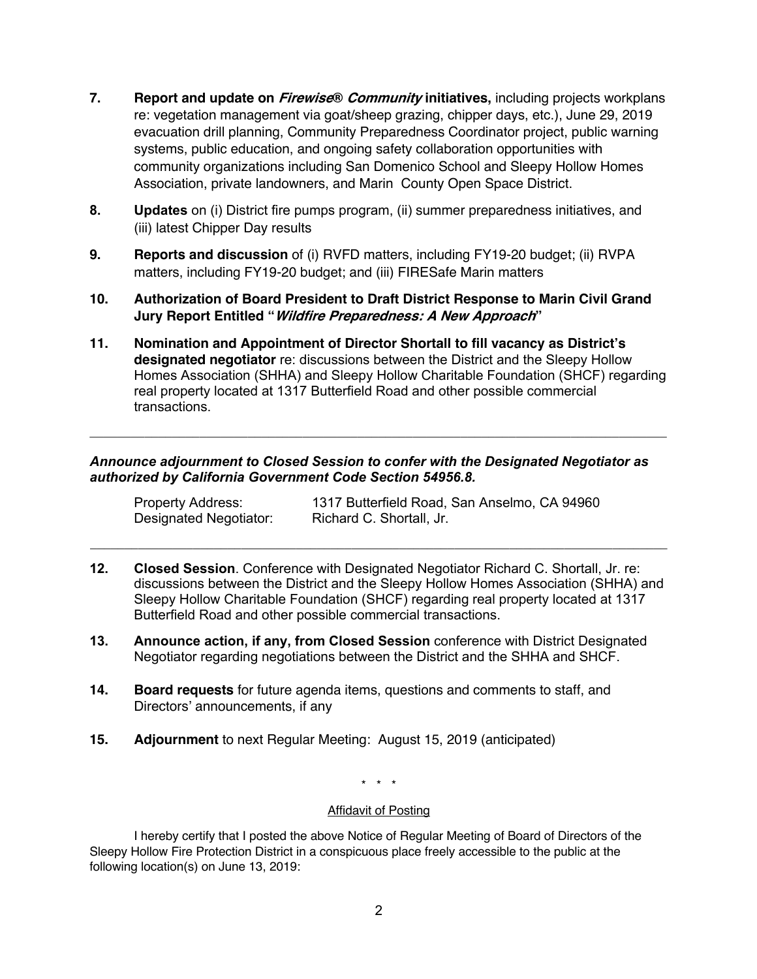- **7. Report and update on Firewise® Community initiatives,** including projects workplans re: vegetation management via goat/sheep grazing, chipper days, etc.), June 29, 2019 evacuation drill planning, Community Preparedness Coordinator project, public warning systems, public education, and ongoing safety collaboration opportunities with community organizations including San Domenico School and Sleepy Hollow Homes Association, private landowners, and Marin County Open Space District.
- **8. Updates** on (i) District fire pumps program, (ii) summer preparedness initiatives, and (iii) latest Chipper Day results
- **9. Reports and discussion** of (i) RVFD matters, including FY19-20 budget; (ii) RVPA matters, including FY19-20 budget; and (iii) FIRESafe Marin matters
- **10. Authorization of Board President to Draft District Response to Marin Civil Grand Jury Report Entitled "Wildfire Preparedness: A New Approach"**
- **11. Nomination and Appointment of Director Shortall to fill vacancy as District's designated negotiator** re: discussions between the District and the Sleepy Hollow Homes Association (SHHA) and Sleepy Hollow Charitable Foundation (SHCF) regarding real property located at 1317 Butterfield Road and other possible commercial transactions.

**\_\_\_\_\_\_\_\_\_\_\_\_\_\_\_\_\_\_\_\_\_\_\_\_\_\_\_\_\_\_\_\_\_\_\_\_\_\_\_\_\_\_\_\_\_\_\_\_\_\_\_\_\_\_\_\_\_\_\_\_\_\_\_\_\_\_\_\_\_\_\_\_\_\_\_\_\_\_\_\_\_\_\_\_**

#### *Announce adjournment to Closed Session to confer with the Designated Negotiator as authorized by California Government Code Section 54956.8.*

Property Address: 1317 Butterfield Road, San Anselmo, CA 94960 Designated Negotiator: Richard C. Shortall, Jr.

**12. Closed Session**. Conference with Designated Negotiator Richard C. Shortall, Jr. re: discussions between the District and the Sleepy Hollow Homes Association (SHHA) and Sleepy Hollow Charitable Foundation (SHCF) regarding real property located at 1317 Butterfield Road and other possible commercial transactions.

**\_\_\_\_\_\_\_\_\_\_\_\_\_\_\_\_\_\_\_\_\_\_\_\_\_\_\_\_\_\_\_\_\_\_\_\_\_\_\_\_\_\_\_\_\_\_\_\_\_\_\_\_\_\_\_\_\_\_\_\_\_\_\_\_\_\_\_\_\_\_\_\_\_\_\_\_\_\_\_\_\_\_\_\_**

- **13. Announce action, if any, from Closed Session** conference with District Designated Negotiator regarding negotiations between the District and the SHHA and SHCF.
- **14. Board requests** for future agenda items, questions and comments to staff, and Directors' announcements, if any
- **15. Adjournment** to next Regular Meeting: August 15, 2019 (anticipated)

\* \* \*

#### Affidavit of Posting

I hereby certify that I posted the above Notice of Regular Meeting of Board of Directors of the Sleepy Hollow Fire Protection District in a conspicuous place freely accessible to the public at the following location(s) on June 13, 2019: